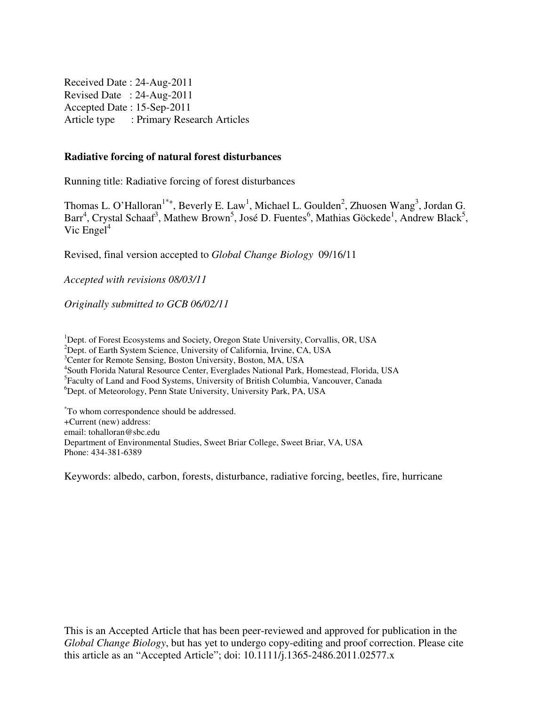Received Date : 24-Aug-2011 Revised Date : 24-Aug-2011 Accepted Date : 15-Sep-2011 Article type : Primary Research Articles

## **Radiative forcing of natural forest disturbances**

Running title: Radiative forcing of forest disturbances

Thomas L. O'Halloran<sup>1\*+</sup>, Beverly E. Law<sup>1</sup>, Michael L. Goulden<sup>2</sup>, Zhuosen Wang<sup>3</sup>, Jordan G. Barr<sup>4</sup>, Crystal Schaaf<sup>3</sup>, Mathew Brown<sup>5</sup>, José D. Fuentes<sup>6</sup>, Mathias Göckede<sup>1</sup>, Andrew Black<sup>5</sup>, Vic  $Engel<sup>4</sup>$ 

Revised, final version accepted to *Global Change Biology* 09/16/11

*Accepted with revisions 08/03/11* 

*Originally submitted to GCB 06/02/11* 

<sup>1</sup>Dept. of Forest Ecosystems and Society, Oregon State University, Corvallis, OR, USA <sup>2</sup>Dept. of Earth System Science, University of California, Irvine, CA, USA <sup>3</sup>Center for Remote Sensing, Boston University, Boston, MA, USA 4 South Florida Natural Resource Center, Everglades National Park, Homestead, Florida, USA 5 Faculty of Land and Food Systems, University of British Columbia, Vancouver, Canada 6 Dept. of Meteorology, Penn State University, University Park, PA, USA

\* To whom correspondence should be addressed. +Current (new) address: email: tohalloran@sbc.edu Department of Environmental Studies, Sweet Briar College, Sweet Briar, VA, USA Phone: 434-381-6389

Keywords: albedo, carbon, forests, disturbance, radiative forcing, beetles, fire, hurricane

This is an Accepted Article that has been peer-reviewed and approved for publication in the *Global Change Biology*, but has yet to undergo copy-editing and proof correction. Please cite this article as an "Accepted Article"; doi: 10.1111/j.1365-2486.2011.02577.x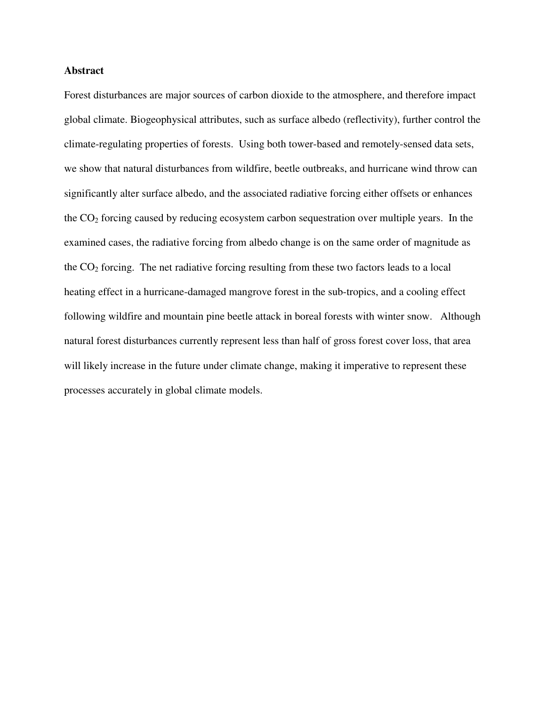## **Abstract**

Forest disturbances are major sources of carbon dioxide to the atmosphere, and therefore impact global climate. Biogeophysical attributes, such as surface albedo (reflectivity), further control the climate-regulating properties of forests. Using both tower-based and remotely-sensed data sets, we show that natural disturbances from wildfire, beetle outbreaks, and hurricane wind throw can significantly alter surface albedo, and the associated radiative forcing either offsets or enhances the  $CO<sub>2</sub>$  forcing caused by reducing ecosystem carbon sequestration over multiple years. In the examined cases, the radiative forcing from albedo change is on the same order of magnitude as the  $CO<sub>2</sub>$  forcing. The net radiative forcing resulting from these two factors leads to a local heating effect in a hurricane-damaged mangrove forest in the sub-tropics, and a cooling effect following wildfire and mountain pine beetle attack in boreal forests with winter snow. Although natural forest disturbances currently represent less than half of gross forest cover loss, that area will likely increase in the future under climate change, making it imperative to represent these processes accurately in global climate models.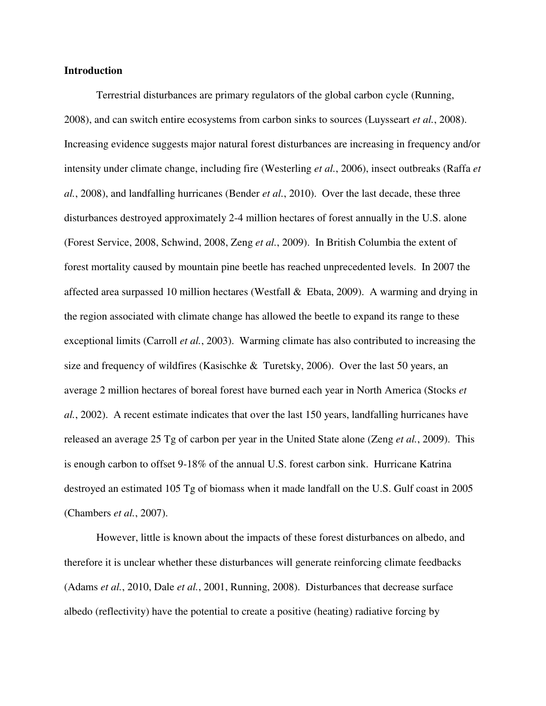#### **Introduction**

Terrestrial disturbances are primary regulators of the global carbon cycle (Running, 2008), and can switch entire ecosystems from carbon sinks to sources (Luysseart *et al.*, 2008). Increasing evidence suggests major natural forest disturbances are increasing in frequency and/or intensity under climate change, including fire (Westerling *et al.*, 2006), insect outbreaks (Raffa *et al.*, 2008), and landfalling hurricanes (Bender *et al.*, 2010). Over the last decade, these three disturbances destroyed approximately 2-4 million hectares of forest annually in the U.S. alone (Forest Service, 2008, Schwind, 2008, Zeng *et al.*, 2009). In British Columbia the extent of forest mortality caused by mountain pine beetle has reached unprecedented levels. In 2007 the affected area surpassed 10 million hectares (Westfall  $\&$  Ebata, 2009). A warming and drying in the region associated with climate change has allowed the beetle to expand its range to these exceptional limits (Carroll *et al.*, 2003). Warming climate has also contributed to increasing the size and frequency of wildfires (Kasischke & Turetsky, 2006). Over the last 50 years, an average 2 million hectares of boreal forest have burned each year in North America (Stocks *et al.*, 2002). A recent estimate indicates that over the last 150 years, landfalling hurricanes have released an average 25 Tg of carbon per year in the United State alone (Zeng *et al.*, 2009). This is enough carbon to offset 9-18% of the annual U.S. forest carbon sink. Hurricane Katrina destroyed an estimated 105 Tg of biomass when it made landfall on the U.S. Gulf coast in 2005 (Chambers *et al.*, 2007).

However, little is known about the impacts of these forest disturbances on albedo, and therefore it is unclear whether these disturbances will generate reinforcing climate feedbacks (Adams *et al.*, 2010, Dale *et al.*, 2001, Running, 2008). Disturbances that decrease surface albedo (reflectivity) have the potential to create a positive (heating) radiative forcing by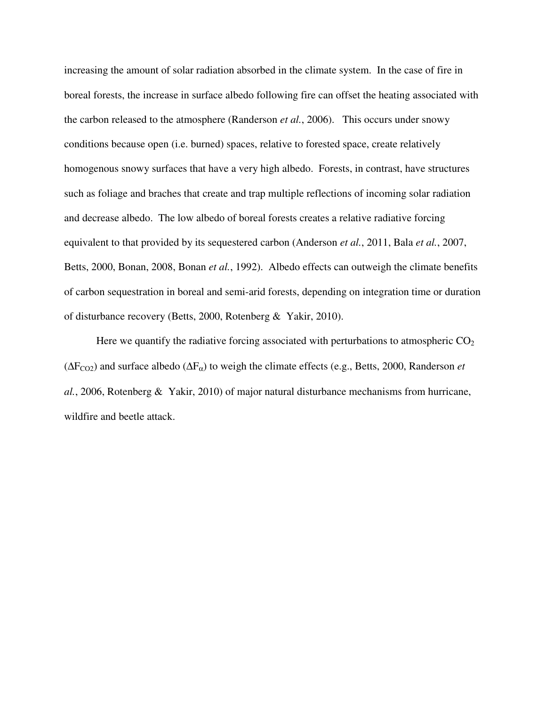increasing the amount of solar radiation absorbed in the climate system. In the case of fire in boreal forests, the increase in surface albedo following fire can offset the heating associated with the carbon released to the atmosphere (Randerson *et al.*, 2006). This occurs under snowy conditions because open (i.e. burned) spaces, relative to forested space, create relatively homogenous snowy surfaces that have a very high albedo. Forests, in contrast, have structures such as foliage and braches that create and trap multiple reflections of incoming solar radiation and decrease albedo. The low albedo of boreal forests creates a relative radiative forcing equivalent to that provided by its sequestered carbon (Anderson *et al.*, 2011, Bala *et al.*, 2007, Betts, 2000, Bonan, 2008, Bonan *et al.*, 1992). Albedo effects can outweigh the climate benefits of carbon sequestration in boreal and semi-arid forests, depending on integration time or duration of disturbance recovery (Betts, 2000, Rotenberg & Yakir, 2010).

Here we quantify the radiative forcing associated with perturbations to atmospheric  $CO<sub>2</sub>$  $(\Delta F_{CQ2})$  and surface albedo  $(\Delta F_{\alpha})$  to weigh the climate effects (e.g., Betts, 2000, Randerson *et al.*, 2006, Rotenberg & Yakir, 2010) of major natural disturbance mechanisms from hurricane, wildfire and beetle attack.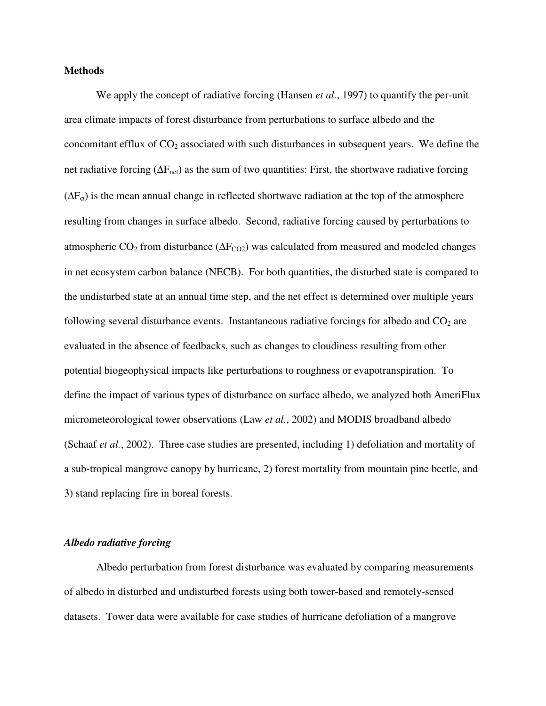#### **Methods**

We apply the concept of radiative forcing (Hansen *et al.*, 1997) to quantify the per-unit area climate impacts of forest disturbance from perturbations to surface albedo and the concomitant efflux of  $CO<sub>2</sub>$  associated with such disturbances in subsequent years. We define the net radiative forcing ( $\Delta F_{\text{net}}$ ) as the sum of two quantities: First, the shortwave radiative forcing  $(\Delta F_{\alpha})$  is the mean annual change in reflected shortwave radiation at the top of the atmosphere resulting from changes in surface albedo. Second, radiative forcing caused by perturbations to atmospheric  $CO_2$  from disturbance ( $\Delta F_{CO2}$ ) was calculated from measured and modeled changes in net ecosystem carbon balance (NECB). For both quantities, the disturbed state is compared to the undisturbed state at an annual time step, and the net effect is determined over multiple years following several disturbance events. Instantaneous radiative forcings for albedo and  $CO<sub>2</sub>$  are evaluated in the absence of feedbacks, such as changes to cloudiness resulting from other potential biogeophysical impacts like perturbations to roughness or evapotranspiration. To define the impact of various types of disturbance on surface albedo, we analyzed both AmeriFlux micrometeorological tower observations (Law *et al.*, 2002) and MODIS broadband albedo (Schaaf *et al.*, 2002). Three case studies are presented, including 1) defoliation and mortality of a sub-tropical mangrove canopy by hurricane, 2) forest mortality from mountain pine beetle, and 3) stand replacing fire in boreal forests.

## *Albedo radiative forcing*

Albedo perturbation from forest disturbance was evaluated by comparing measurements of albedo in disturbed and undisturbed forests using both tower-based and remotely-sensed datasets. Tower data were available for case studies of hurricane defoliation of a mangrove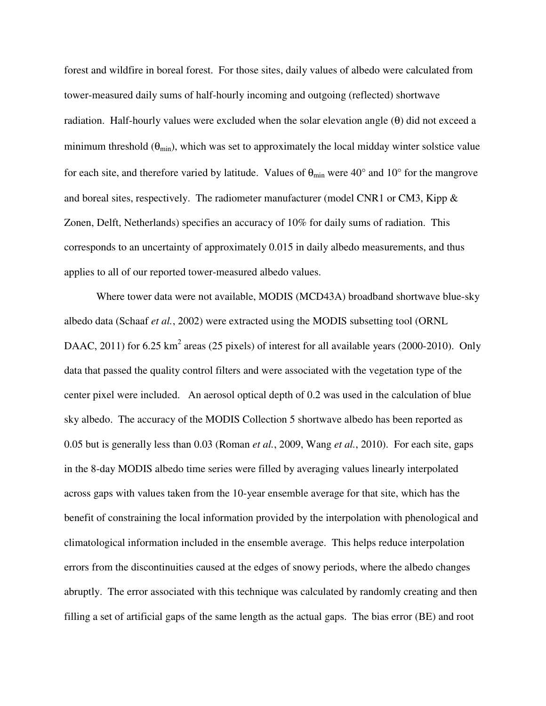forest and wildfire in boreal forest. For those sites, daily values of albedo were calculated from tower-measured daily sums of half-hourly incoming and outgoing (reflected) shortwave radiation. Half-hourly values were excluded when the solar elevation angle (θ) did not exceed a minimum threshold  $(\theta_{min})$ , which was set to approximately the local midday winter solstice value for each site, and therefore varied by latitude. Values of  $\theta_{\text{min}}$  were 40° and 10° for the mangrove and boreal sites, respectively. The radiometer manufacturer (model CNR1 or CM3, Kipp & Zonen, Delft, Netherlands) specifies an accuracy of 10% for daily sums of radiation. This corresponds to an uncertainty of approximately 0.015 in daily albedo measurements, and thus applies to all of our reported tower-measured albedo values.

Where tower data were not available, MODIS (MCD43A) broadband shortwave blue-sky albedo data (Schaaf *et al.*, 2002) were extracted using the MODIS subsetting tool (ORNL DAAC, 2011) for 6.25  $km^2$  areas (25 pixels) of interest for all available years (2000-2010). Only data that passed the quality control filters and were associated with the vegetation type of the center pixel were included. An aerosol optical depth of 0.2 was used in the calculation of blue sky albedo. The accuracy of the MODIS Collection 5 shortwave albedo has been reported as 0.05 but is generally less than 0.03 (Roman *et al.*, 2009, Wang *et al.*, 2010). For each site, gaps in the 8-day MODIS albedo time series were filled by averaging values linearly interpolated across gaps with values taken from the 10-year ensemble average for that site, which has the benefit of constraining the local information provided by the interpolation with phenological and climatological information included in the ensemble average. This helps reduce interpolation errors from the discontinuities caused at the edges of snowy periods, where the albedo changes abruptly. The error associated with this technique was calculated by randomly creating and then filling a set of artificial gaps of the same length as the actual gaps. The bias error (BE) and root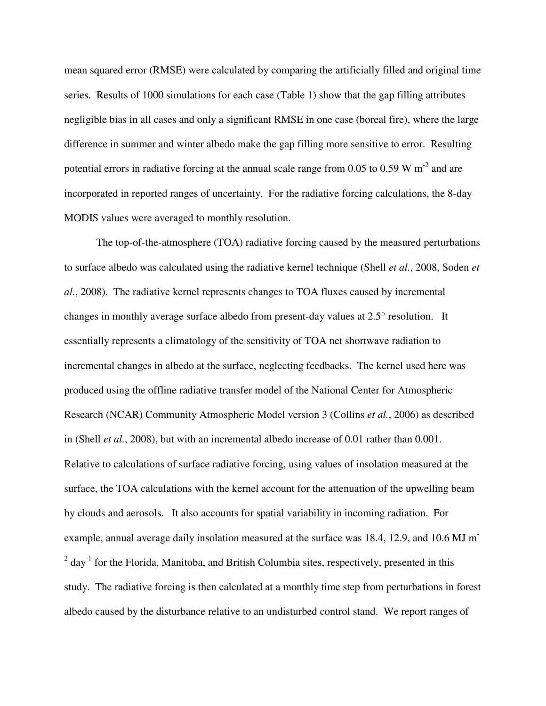mean squared error (RMSE) were calculated by comparing the artificially filled and original time series. Results of 1000 simulations for each case (Table 1) show that the gap filling attributes negligible bias in all cases and only a significant RMSE in one case (boreal fire), where the large difference in summer and winter albedo make the gap filling more sensitive to error. Resulting potential errors in radiative forcing at the annual scale range from 0.05 to 0.59 W  $m<sup>-2</sup>$  and are incorporated in reported ranges of uncertainty. For the radiative forcing calculations, the 8-day MODIS values were averaged to monthly resolution.

The top-of-the-atmosphere (TOA) radiative forcing caused by the measured perturbations to surface albedo was calculated using the radiative kernel technique (Shell *et al.*, 2008, Soden *et al.*, 2008). The radiative kernel represents changes to TOA fluxes caused by incremental changes in monthly average surface albedo from present-day values at 2.5° resolution. It essentially represents a climatology of the sensitivity of TOA net shortwave radiation to incremental changes in albedo at the surface, neglecting feedbacks. The kernel used here was produced using the offline radiative transfer model of the National Center for Atmospheric Research (NCAR) Community Atmospheric Model version 3 (Collins *et al.*, 2006) as described in (Shell *et al.*, 2008), but with an incremental albedo increase of 0.01 rather than 0.001. Relative to calculations of surface radiative forcing, using values of insolation measured at the surface, the TOA calculations with the kernel account for the attenuation of the upwelling beam by clouds and aerosols. It also accounts for spatial variability in incoming radiation. For example, annual average daily insolation measured at the surface was 18.4, 12.9, and 10.6 MJ m<sup>-</sup>  $2^2$  day<sup>-1</sup> for the Florida, Manitoba, and British Columbia sites, respectively, presented in this study. The radiative forcing is then calculated at a monthly time step from perturbations in forest albedo caused by the disturbance relative to an undisturbed control stand. We report ranges of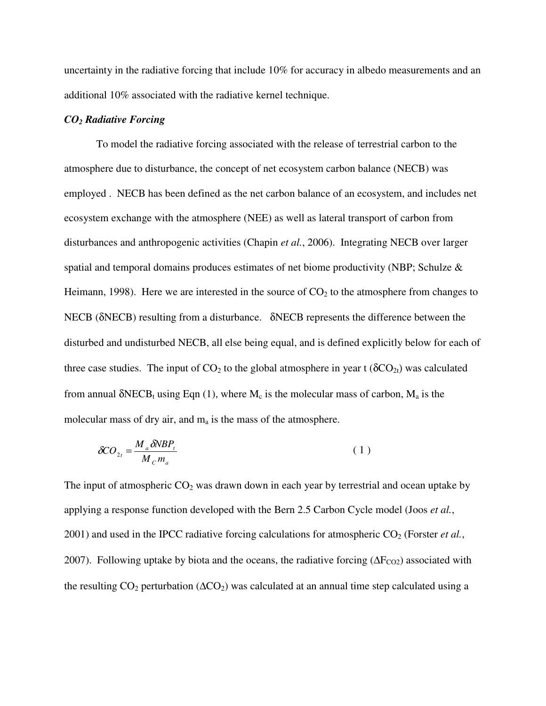uncertainty in the radiative forcing that include 10% for accuracy in albedo measurements and an additional 10% associated with the radiative kernel technique.

#### *CO2 Radiative Forcing*

To model the radiative forcing associated with the release of terrestrial carbon to the atmosphere due to disturbance, the concept of net ecosystem carbon balance (NECB) was employed . NECB has been defined as the net carbon balance of an ecosystem, and includes net ecosystem exchange with the atmosphere (NEE) as well as lateral transport of carbon from disturbances and anthropogenic activities (Chapin *et al.*, 2006). Integrating NECB over larger spatial and temporal domains produces estimates of net biome productivity (NBP; Schulze & Heimann, 1998). Here we are interested in the source of  $CO<sub>2</sub>$  to the atmosphere from changes to NECB (δNECB) resulting from a disturbance. δNECB represents the difference between the disturbed and undisturbed NECB, all else being equal, and is defined explicitly below for each of three case studies. The input of  $CO<sub>2</sub>$  to the global atmosphere in year t ( $\delta CO<sub>2t</sub>$ ) was calculated from annual  $\delta NECB_t$  using Eqn (1), where  $M_c$  is the molecular mass of carbon,  $M_a$  is the molecular mass of dry air, and  $m_a$  is the mass of the atmosphere.

$$
\delta CO_{2_t} = \frac{M_a \delta NBP_t}{M_c m_a} \tag{1}
$$

The input of atmospheric  $CO<sub>2</sub>$  was drawn down in each year by terrestrial and ocean uptake by applying a response function developed with the Bern 2.5 Carbon Cycle model (Joos *et al.*,  $2001$ ) and used in the IPCC radiative forcing calculations for atmospheric  $CO<sub>2</sub>$  (Forster *et al.*, 2007). Following uptake by biota and the oceans, the radiative forcing  $(\Delta F_{CO2})$  associated with the resulting  $CO_2$  perturbation ( $\Delta CO_2$ ) was calculated at an annual time step calculated using a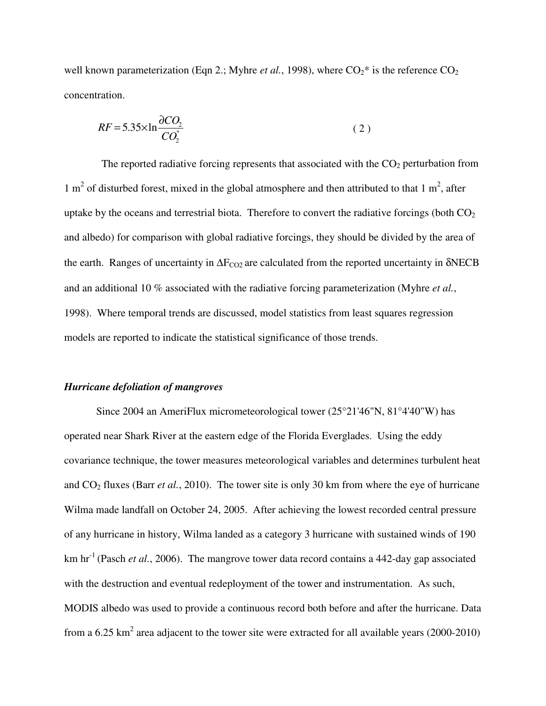well known parameterization (Eqn 2.; Myhre *et al.*, 1998), where  $CO_2$ <sup>\*</sup> is the reference  $CO_2$ concentration.

$$
RF = 5.35 \times \ln \frac{\partial CO_2}{CO_2^*}
$$
 (2)

The reported radiative forcing represents that associated with the  $CO<sub>2</sub>$  perturbation from 1 m<sup>2</sup> of disturbed forest, mixed in the global atmosphere and then attributed to that 1 m<sup>2</sup>, after uptake by the oceans and terrestrial biota. Therefore to convert the radiative forcings (both  $CO<sub>2</sub>$ ) and albedo) for comparison with global radiative forcings, they should be divided by the area of the earth. Ranges of uncertainty in  $\Delta F_{CO2}$  are calculated from the reported uncertainty in  $\delta$ NECB and an additional 10 % associated with the radiative forcing parameterization (Myhre *et al.*, 1998). Where temporal trends are discussed, model statistics from least squares regression models are reported to indicate the statistical significance of those trends.

#### *Hurricane defoliation of mangroves*

Since 2004 an AmeriFlux micrometeorological tower (25°21'46"N, 81°4'40"W) has operated near Shark River at the eastern edge of the Florida Everglades. Using the eddy covariance technique, the tower measures meteorological variables and determines turbulent heat and CO2 fluxes (Barr *et al.*, 2010). The tower site is only 30 km from where the eye of hurricane Wilma made landfall on October 24, 2005. After achieving the lowest recorded central pressure of any hurricane in history, Wilma landed as a category 3 hurricane with sustained winds of 190 km hr<sup>-1</sup> (Pasch *et al.*, 2006). The mangrove tower data record contains a 442-day gap associated with the destruction and eventual redeployment of the tower and instrumentation. As such, MODIS albedo was used to provide a continuous record both before and after the hurricane. Data from a 6.25 km<sup>2</sup> area adjacent to the tower site were extracted for all available years (2000-2010)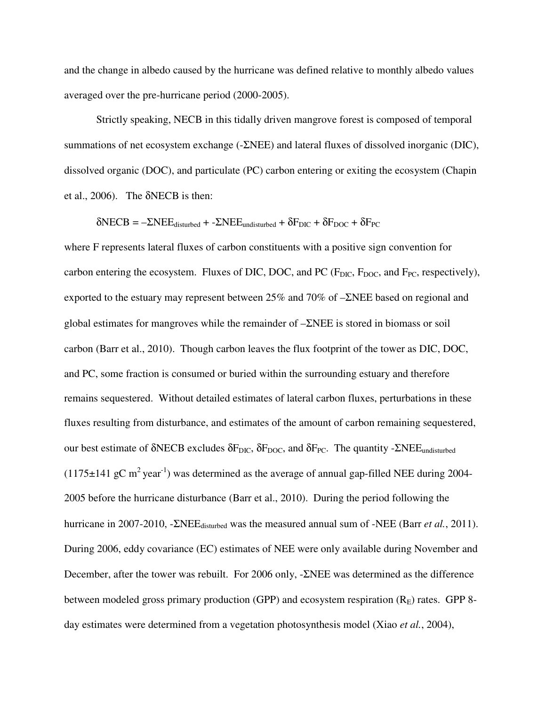and the change in albedo caused by the hurricane was defined relative to monthly albedo values averaged over the pre-hurricane period (2000-2005).

Strictly speaking, NECB in this tidally driven mangrove forest is composed of temporal summations of net ecosystem exchange (-ΣNEE) and lateral fluxes of dissolved inorganic (DIC), dissolved organic (DOC), and particulate (PC) carbon entering or exiting the ecosystem (Chapin et al., 2006). The δNECB is then:

## $\delta$ NECB = – $\Sigma$ NEE<sub>disturbed</sub> + - $\Sigma$ NEE<sub>undisturbed</sub> +  $\delta$ F<sub>DIC</sub> +  $\delta$ F<sub>DOC</sub> +  $\delta$ F<sub>PC</sub>

where F represents lateral fluxes of carbon constituents with a positive sign convention for carbon entering the ecosystem. Fluxes of DIC, DOC, and PC ( $F_{DIC}$ ,  $F_{DOC}$ , and  $F_{PC}$ , respectively), exported to the estuary may represent between 25% and 70% of –ΣNEE based on regional and global estimates for mangroves while the remainder of –ΣNEE is stored in biomass or soil carbon (Barr et al., 2010). Though carbon leaves the flux footprint of the tower as DIC, DOC, and PC, some fraction is consumed or buried within the surrounding estuary and therefore remains sequestered. Without detailed estimates of lateral carbon fluxes, perturbations in these fluxes resulting from disturbance, and estimates of the amount of carbon remaining sequestered, our best estimate of δNECB excludes  $\delta F_{\text{DIC}}$ ,  $\delta F_{\text{DOC}}$ , and  $\delta F_{\text{PC}}$ . The quantity -ΣNEE<sub>undisturbed</sub>  $(1175 \pm 141 \text{ gC m}^2 \text{ year}^1)$  was determined as the average of annual gap-filled NEE during 2004-2005 before the hurricane disturbance (Barr et al., 2010). During the period following the hurricane in 2007-2010, -ΣNEEdisturbed was the measured annual sum of -NEE (Barr *et al.*, 2011). During 2006, eddy covariance (EC) estimates of NEE were only available during November and December, after the tower was rebuilt. For 2006 only, -ΣNEE was determined as the difference between modeled gross primary production (GPP) and ecosystem respiration  $(R<sub>E</sub>)$  rates. GPP 8day estimates were determined from a vegetation photosynthesis model (Xiao *et al.*, 2004),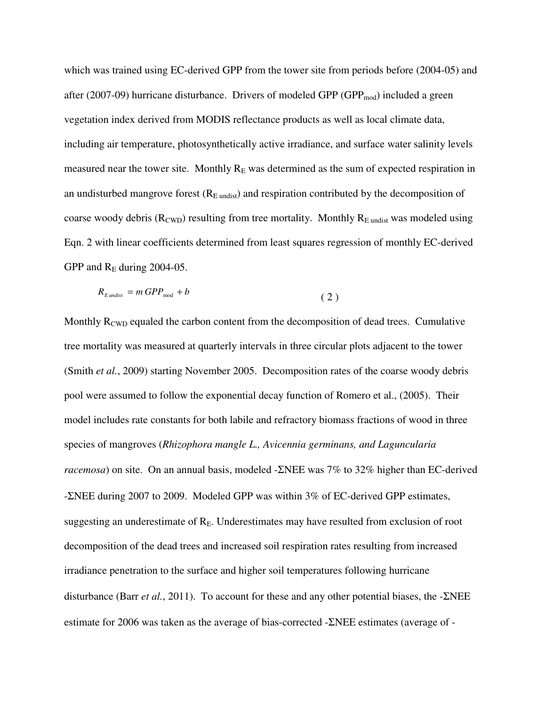which was trained using EC-derived GPP from the tower site from periods before (2004-05) and after (2007-09) hurricane disturbance. Drivers of modeled GPP (GPP<sub>mod</sub>) included a green vegetation index derived from MODIS reflectance products as well as local climate data, including air temperature, photosynthetically active irradiance, and surface water salinity levels measured near the tower site. Monthly  $R_E$  was determined as the sum of expected respiration in an undisturbed mangrove forest  $(R<sub>E</sub>$ <sub>undist</sub>) and respiration contributed by the decomposition of coarse woody debris ( $R_{CWD}$ ) resulting from tree mortality. Monthly  $R_{E \text{ undist}}$  was modeled using Eqn. 2 with linear coefficients determined from least squares regression of monthly EC-derived GPP and  $R_E$  during 2004-05.

$$
R_{E\text{ undist}} = m\text{ GPP}_{\text{mod}} + b\tag{2}
$$

Monthly  $R_{CWD}$  equaled the carbon content from the decomposition of dead trees. Cumulative tree mortality was measured at quarterly intervals in three circular plots adjacent to the tower (Smith *et al.*, 2009) starting November 2005. Decomposition rates of the coarse woody debris pool were assumed to follow the exponential decay function of Romero et al., (2005). Their model includes rate constants for both labile and refractory biomass fractions of wood in three species of mangroves (*Rhizophora mangle L., Avicennia germinans, and Laguncularia racemosa*) on site. On an annual basis, modeled -ΣNEE was 7% to 32% higher than EC-derived -ΣNEE during 2007 to 2009. Modeled GPP was within 3% of EC-derived GPP estimates, suggesting an underestimate of  $R<sub>E</sub>$ . Underestimates may have resulted from exclusion of root decomposition of the dead trees and increased soil respiration rates resulting from increased irradiance penetration to the surface and higher soil temperatures following hurricane disturbance (Barr *et al.*, 2011). To account for these and any other potential biases, the -ΣNEE estimate for 2006 was taken as the average of bias-corrected -ΣNEE estimates (average of -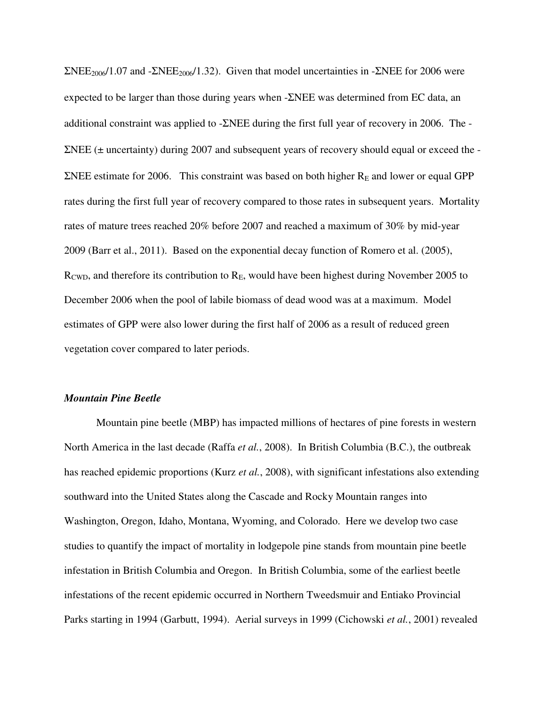$\Sigma$ NEE<sub>2006</sub>/1.07 and -ΣNEE<sub>2006</sub>/1.32). Given that model uncertainties in -ΣNEE for 2006 were expected to be larger than those during years when -ΣNEE was determined from EC data, an additional constraint was applied to -ΣNEE during the first full year of recovery in 2006. The - ΣNEE (± uncertainty) during 2007 and subsequent years of recovery should equal or exceed the - ΣΝΕΕ estimate for 2006. This constraint was based on both higher  $R<sub>E</sub>$  and lower or equal GPP rates during the first full year of recovery compared to those rates in subsequent years. Mortality rates of mature trees reached 20% before 2007 and reached a maximum of 30% by mid-year 2009 (Barr et al., 2011). Based on the exponential decay function of Romero et al. (2005),  $R_{\text{CWD}}$ , and therefore its contribution to  $R_{\text{E}}$ , would have been highest during November 2005 to December 2006 when the pool of labile biomass of dead wood was at a maximum. Model estimates of GPP were also lower during the first half of 2006 as a result of reduced green vegetation cover compared to later periods.

#### *Mountain Pine Beetle*

Mountain pine beetle (MBP) has impacted millions of hectares of pine forests in western North America in the last decade (Raffa *et al.*, 2008). In British Columbia (B.C.), the outbreak has reached epidemic proportions (Kurz *et al.*, 2008), with significant infestations also extending southward into the United States along the Cascade and Rocky Mountain ranges into Washington, Oregon, Idaho, Montana, Wyoming, and Colorado. Here we develop two case studies to quantify the impact of mortality in lodgepole pine stands from mountain pine beetle infestation in British Columbia and Oregon. In British Columbia, some of the earliest beetle infestations of the recent epidemic occurred in Northern Tweedsmuir and Entiako Provincial Parks starting in 1994 (Garbutt, 1994). Aerial surveys in 1999 (Cichowski *et al.*, 2001) revealed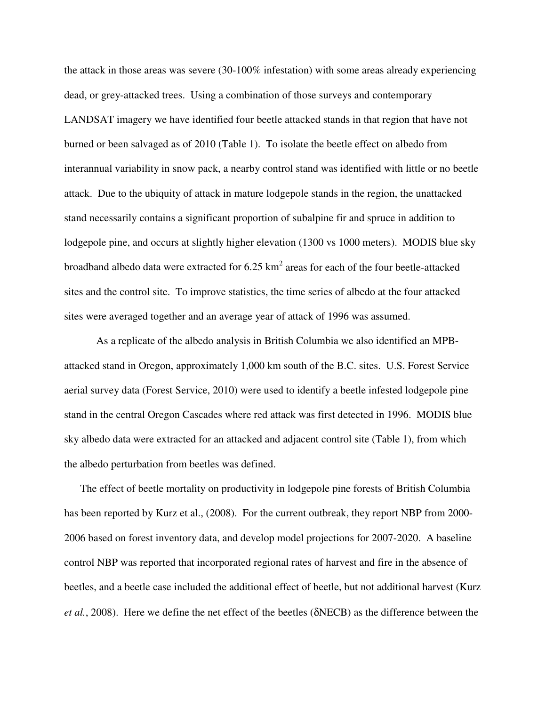the attack in those areas was severe (30-100% infestation) with some areas already experiencing dead, or grey-attacked trees. Using a combination of those surveys and contemporary LANDSAT imagery we have identified four beetle attacked stands in that region that have not burned or been salvaged as of 2010 (Table 1). To isolate the beetle effect on albedo from interannual variability in snow pack, a nearby control stand was identified with little or no beetle attack. Due to the ubiquity of attack in mature lodgepole stands in the region, the unattacked stand necessarily contains a significant proportion of subalpine fir and spruce in addition to lodgepole pine, and occurs at slightly higher elevation (1300 vs 1000 meters). MODIS blue sky broadband albedo data were extracted for  $6.25 \text{ km}^2$  areas for each of the four beetle-attacked sites and the control site. To improve statistics, the time series of albedo at the four attacked sites were averaged together and an average year of attack of 1996 was assumed.

As a replicate of the albedo analysis in British Columbia we also identified an MPBattacked stand in Oregon, approximately 1,000 km south of the B.C. sites. U.S. Forest Service aerial survey data (Forest Service, 2010) were used to identify a beetle infested lodgepole pine stand in the central Oregon Cascades where red attack was first detected in 1996. MODIS blue sky albedo data were extracted for an attacked and adjacent control site (Table 1), from which the albedo perturbation from beetles was defined.

The effect of beetle mortality on productivity in lodgepole pine forests of British Columbia has been reported by Kurz et al., (2008). For the current outbreak, they report NBP from 2000-2006 based on forest inventory data, and develop model projections for 2007-2020. A baseline control NBP was reported that incorporated regional rates of harvest and fire in the absence of beetles, and a beetle case included the additional effect of beetle, but not additional harvest (Kurz *et al.*, 2008). Here we define the net effect of the beetles (δNECB) as the difference between the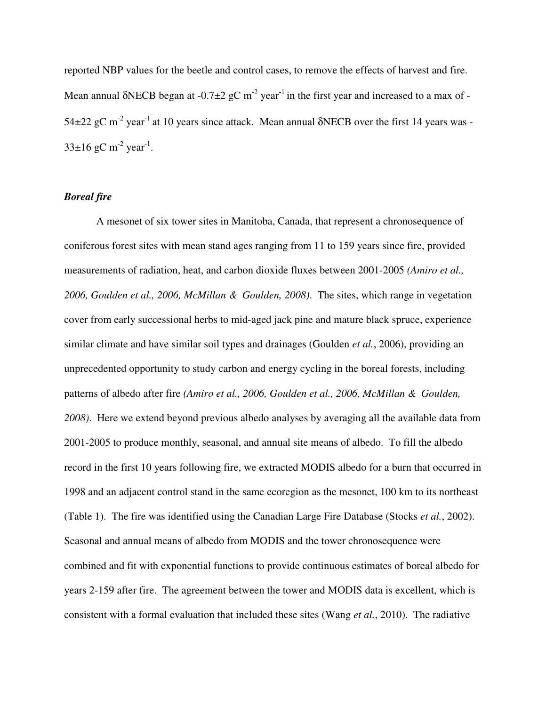reported NBP values for the beetle and control cases, to remove the effects of harvest and fire. Mean annual  $\delta$ NECB began at -0.7 $\pm 2$  gC m<sup>-2</sup> year<sup>-1</sup> in the first year and increased to a max of - $54\pm22$  gC m<sup>-2</sup> year<sup>-1</sup> at 10 years since attack. Mean annual δNECB over the first 14 years was - $33\pm16$  gC m<sup>-2</sup> year<sup>-1</sup>.

## *Boreal fire*

A mesonet of six tower sites in Manitoba, Canada, that represent a chronosequence of coniferous forest sites with mean stand ages ranging from 11 to 159 years since fire, provided measurements of radiation, heat, and carbon dioxide fluxes between 2001-2005 *(Amiro et al., 2006, Goulden et al., 2006, McMillan & Goulden, 2008)*. The sites, which range in vegetation cover from early successional herbs to mid-aged jack pine and mature black spruce, experience similar climate and have similar soil types and drainages (Goulden *et al.*, 2006), providing an unprecedented opportunity to study carbon and energy cycling in the boreal forests, including patterns of albedo after fire *(Amiro et al., 2006, Goulden et al., 2006, McMillan & Goulden, 2008)*. Here we extend beyond previous albedo analyses by averaging all the available data from 2001-2005 to produce monthly, seasonal, and annual site means of albedo. To fill the albedo record in the first 10 years following fire, we extracted MODIS albedo for a burn that occurred in 1998 and an adjacent control stand in the same ecoregion as the mesonet, 100 km to its northeast (Table 1). The fire was identified using the Canadian Large Fire Database (Stocks *et al.*, 2002). Seasonal and annual means of albedo from MODIS and the tower chronosequence were combined and fit with exponential functions to provide continuous estimates of boreal albedo for years 2-159 after fire. The agreement between the tower and MODIS data is excellent, which is consistent with a formal evaluation that included these sites (Wang *et al.*, 2010). The radiative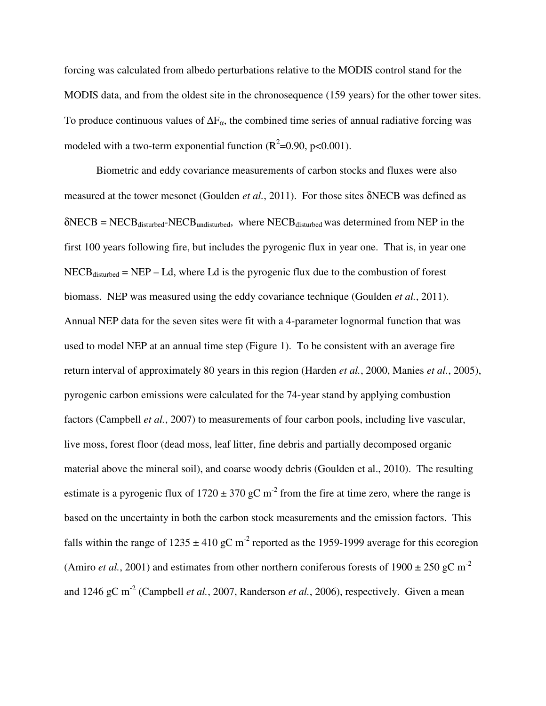forcing was calculated from albedo perturbations relative to the MODIS control stand for the MODIS data, and from the oldest site in the chronosequence (159 years) for the other tower sites. To produce continuous values of  $\Delta F_{\alpha}$ , the combined time series of annual radiative forcing was modeled with a two-term exponential function  $(R^2=0.90, p<0.001)$ .

Biometric and eddy covariance measurements of carbon stocks and fluxes were also measured at the tower mesonet (Goulden *et al.*, 2011). For those sites δNECB was defined as  $\delta$ NECB = NECB<sub>disturbed</sub>-NECB<sub>undisturbed</sub>, where NECB<sub>disturbed</sub> was determined from NEP in the first 100 years following fire, but includes the pyrogenic flux in year one. That is, in year one  $NECB_{distributed} = NEP - Ld$ , where Ld is the pyrogenic flux due to the combustion of forest biomass. NEP was measured using the eddy covariance technique (Goulden *et al.*, 2011). Annual NEP data for the seven sites were fit with a 4-parameter lognormal function that was used to model NEP at an annual time step (Figure 1). To be consistent with an average fire return interval of approximately 80 years in this region (Harden *et al.*, 2000, Manies *et al.*, 2005), pyrogenic carbon emissions were calculated for the 74-year stand by applying combustion factors (Campbell *et al.*, 2007) to measurements of four carbon pools, including live vascular, live moss, forest floor (dead moss, leaf litter, fine debris and partially decomposed organic material above the mineral soil), and coarse woody debris (Goulden et al., 2010). The resulting estimate is a pyrogenic flux of  $1720 \pm 370$  gC m<sup>-2</sup> from the fire at time zero, where the range is based on the uncertainty in both the carbon stock measurements and the emission factors. This falls within the range of  $1235 \pm 410$  gC m<sup>-2</sup> reported as the 1959-1999 average for this ecoregion (Amiro *et al.*, 2001) and estimates from other northern coniferous forests of  $1900 \pm 250$  gC m<sup>-2</sup> and 1246 gC m<sup>-2</sup> (Campbell *et al.*, 2007, Randerson *et al.*, 2006), respectively. Given a mean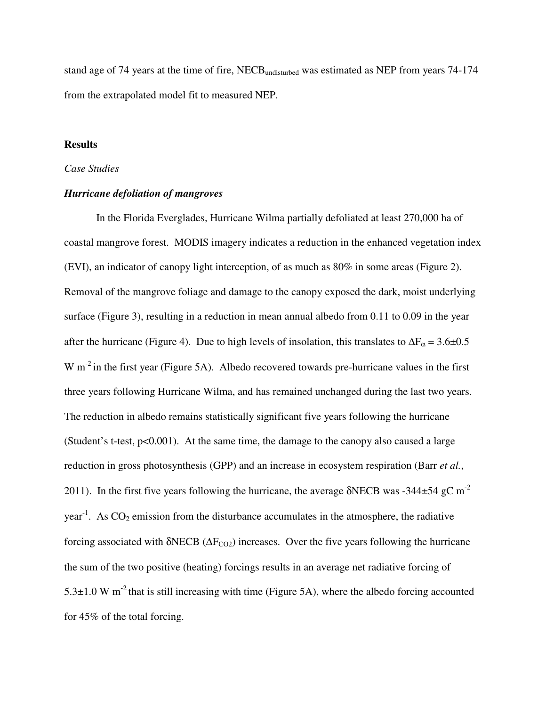stand age of 74 years at the time of fire, NECBundisturbed was estimated as NEP from years 74-174 from the extrapolated model fit to measured NEP.

#### **Results**

#### *Case Studies*

## *Hurricane defoliation of mangroves*

In the Florida Everglades, Hurricane Wilma partially defoliated at least 270,000 ha of coastal mangrove forest. MODIS imagery indicates a reduction in the enhanced vegetation index (EVI), an indicator of canopy light interception, of as much as 80% in some areas (Figure 2). Removal of the mangrove foliage and damage to the canopy exposed the dark, moist underlying surface (Figure 3), resulting in a reduction in mean annual albedo from 0.11 to 0.09 in the year after the hurricane (Figure 4). Due to high levels of insolation, this translates to  $\Delta F_{\alpha} = 3.6 \pm 0.5$ W m<sup>-2</sup> in the first year (Figure 5A). Albedo recovered towards pre-hurricane values in the first three years following Hurricane Wilma, and has remained unchanged during the last two years. The reduction in albedo remains statistically significant five years following the hurricane (Student's t-test,  $p<0.001$ ). At the same time, the damage to the canopy also caused a large reduction in gross photosynthesis (GPP) and an increase in ecosystem respiration (Barr *et al.*, 2011). In the first five years following the hurricane, the average  $\delta$ NECB was -344 $\pm$ 54 gC m<sup>-2</sup> year<sup>-1</sup>. As  $CO_2$  emission from the disturbance accumulates in the atmosphere, the radiative forcing associated with  $\delta$ NECB ( $\Delta F_{CO2}$ ) increases. Over the five years following the hurricane the sum of the two positive (heating) forcings results in an average net radiative forcing of  $5.3\pm1.0$  W m<sup>-2</sup> that is still increasing with time (Figure 5A), where the albedo forcing accounted for 45% of the total forcing.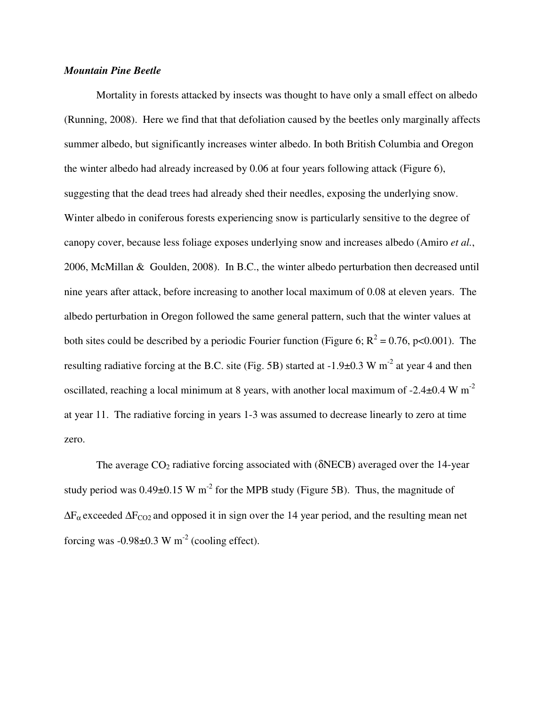## *Mountain Pine Beetle*

Mortality in forests attacked by insects was thought to have only a small effect on albedo (Running, 2008). Here we find that that defoliation caused by the beetles only marginally affects summer albedo, but significantly increases winter albedo. In both British Columbia and Oregon the winter albedo had already increased by 0.06 at four years following attack (Figure 6), suggesting that the dead trees had already shed their needles, exposing the underlying snow. Winter albedo in coniferous forests experiencing snow is particularly sensitive to the degree of canopy cover, because less foliage exposes underlying snow and increases albedo (Amiro *et al.*, 2006, McMillan & Goulden, 2008). In B.C., the winter albedo perturbation then decreased until nine years after attack, before increasing to another local maximum of 0.08 at eleven years. The albedo perturbation in Oregon followed the same general pattern, such that the winter values at both sites could be described by a periodic Fourier function (Figure 6;  $R^2 = 0.76$ , p<0.001). The resulting radiative forcing at the B.C. site (Fig. 5B) started at  $-1.9\pm0.3$  W m<sup>-2</sup> at year 4 and then oscillated, reaching a local minimum at 8 years, with another local maximum of -2.4 $\pm$ 0.4 W m<sup>-2</sup> at year 11. The radiative forcing in years 1-3 was assumed to decrease linearly to zero at time zero.

The average  $CO_2$  radiative forcing associated with ( $\delta$ NECB) averaged over the 14-year study period was  $0.49\pm0.15$  W m<sup>-2</sup> for the MPB study (Figure 5B). Thus, the magnitude of  $\Delta F_{\alpha}$  exceeded  $\Delta F_{\alpha}$  and opposed it in sign over the 14 year period, and the resulting mean net forcing was  $-0.98\pm0.3$  W m<sup>-2</sup> (cooling effect).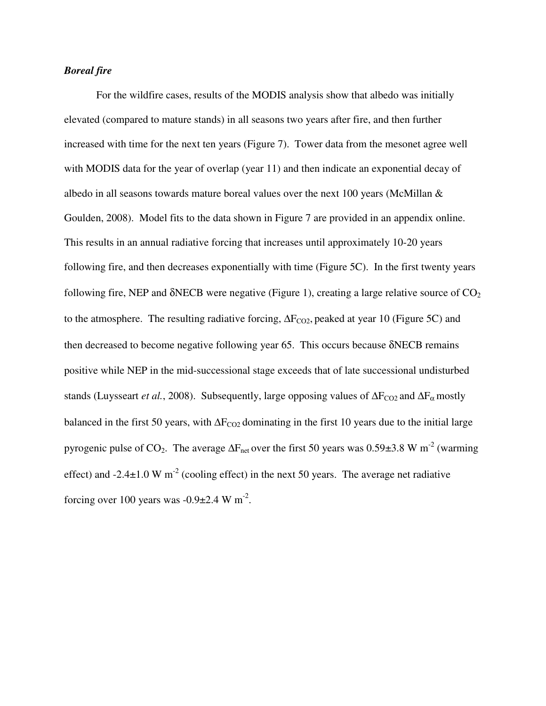## *Boreal fire*

For the wildfire cases, results of the MODIS analysis show that albedo was initially elevated (compared to mature stands) in all seasons two years after fire, and then further increased with time for the next ten years (Figure 7). Tower data from the mesonet agree well with MODIS data for the year of overlap (year 11) and then indicate an exponential decay of albedo in all seasons towards mature boreal values over the next 100 years (McMillan & Goulden, 2008). Model fits to the data shown in Figure 7 are provided in an appendix online. This results in an annual radiative forcing that increases until approximately 10-20 years following fire, and then decreases exponentially with time (Figure 5C). In the first twenty years following fire, NEP and  $\delta$ NECB were negative (Figure 1), creating a large relative source of  $CO<sub>2</sub>$ to the atmosphere. The resulting radiative forcing,  $\Delta F_{CO2}$ , peaked at year 10 (Figure 5C) and then decreased to become negative following year 65. This occurs because δNECB remains positive while NEP in the mid-successional stage exceeds that of late successional undisturbed stands (Luysseart *et al.*, 2008). Subsequently, large opposing values of  $\Delta F_{CO2}$  and  $\Delta F_{\alpha}$  mostly balanced in the first 50 years, with  $\Delta F_{CO2}$  dominating in the first 10 years due to the initial large pyrogenic pulse of CO<sub>2</sub>. The average  $\Delta F_{net}$  over the first 50 years was 0.59±3.8 W m<sup>-2</sup> (warming effect) and  $-2.4\pm1.0$  W m<sup>-2</sup> (cooling effect) in the next 50 years. The average net radiative forcing over 100 years was  $-0.9\pm2.4$  W m<sup>-2</sup>.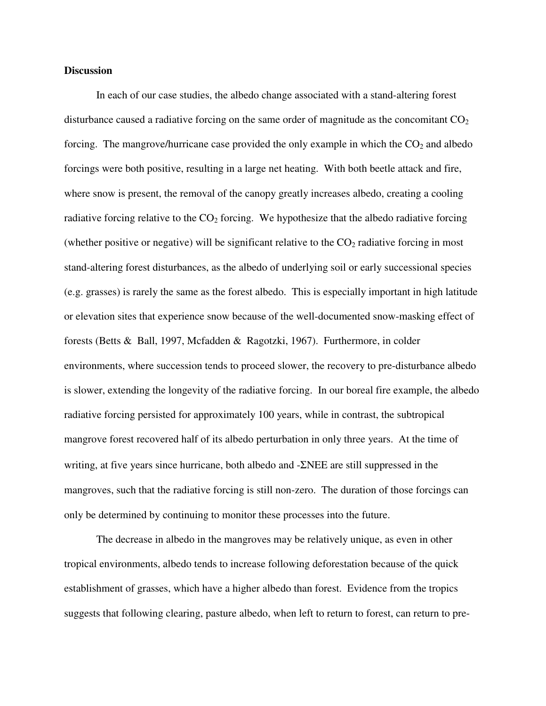#### **Discussion**

In each of our case studies, the albedo change associated with a stand-altering forest disturbance caused a radiative forcing on the same order of magnitude as the concomitant  $CO<sub>2</sub>$ forcing. The mangrove/hurricane case provided the only example in which the  $CO<sub>2</sub>$  and albedo forcings were both positive, resulting in a large net heating. With both beetle attack and fire, where snow is present, the removal of the canopy greatly increases albedo, creating a cooling radiative forcing relative to the  $CO<sub>2</sub>$  forcing. We hypothesize that the albedo radiative forcing (whether positive or negative) will be significant relative to the  $CO<sub>2</sub>$  radiative forcing in most stand-altering forest disturbances, as the albedo of underlying soil or early successional species (e.g. grasses) is rarely the same as the forest albedo. This is especially important in high latitude or elevation sites that experience snow because of the well-documented snow-masking effect of forests (Betts & Ball, 1997, Mcfadden & Ragotzki, 1967). Furthermore, in colder environments, where succession tends to proceed slower, the recovery to pre-disturbance albedo is slower, extending the longevity of the radiative forcing. In our boreal fire example, the albedo radiative forcing persisted for approximately 100 years, while in contrast, the subtropical mangrove forest recovered half of its albedo perturbation in only three years. At the time of writing, at five years since hurricane, both albedo and -ΣNEE are still suppressed in the mangroves, such that the radiative forcing is still non-zero. The duration of those forcings can only be determined by continuing to monitor these processes into the future.

The decrease in albedo in the mangroves may be relatively unique, as even in other tropical environments, albedo tends to increase following deforestation because of the quick establishment of grasses, which have a higher albedo than forest. Evidence from the tropics suggests that following clearing, pasture albedo, when left to return to forest, can return to pre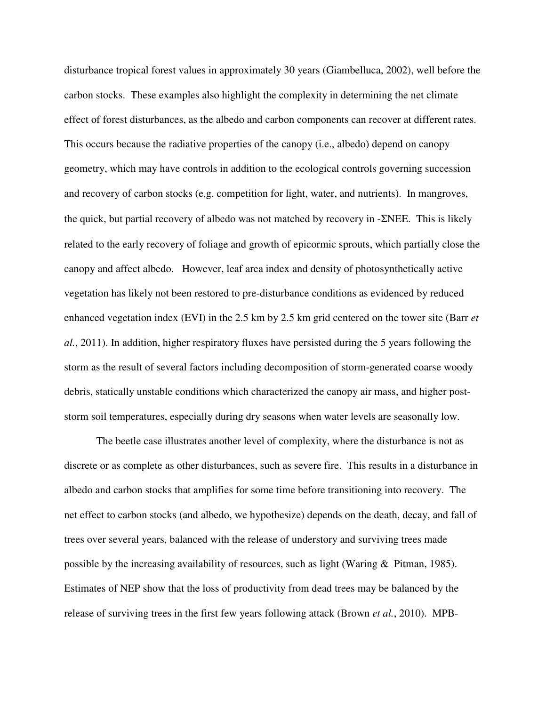disturbance tropical forest values in approximately 30 years (Giambelluca, 2002), well before the carbon stocks. These examples also highlight the complexity in determining the net climate effect of forest disturbances, as the albedo and carbon components can recover at different rates. This occurs because the radiative properties of the canopy (i.e., albedo) depend on canopy geometry, which may have controls in addition to the ecological controls governing succession and recovery of carbon stocks (e.g. competition for light, water, and nutrients). In mangroves, the quick, but partial recovery of albedo was not matched by recovery in -ΣNEE. This is likely related to the early recovery of foliage and growth of epicormic sprouts, which partially close the canopy and affect albedo. However, leaf area index and density of photosynthetically active vegetation has likely not been restored to pre-disturbance conditions as evidenced by reduced enhanced vegetation index (EVI) in the 2.5 km by 2.5 km grid centered on the tower site (Barr *et al.*, 2011). In addition, higher respiratory fluxes have persisted during the 5 years following the storm as the result of several factors including decomposition of storm-generated coarse woody debris, statically unstable conditions which characterized the canopy air mass, and higher poststorm soil temperatures, especially during dry seasons when water levels are seasonally low.

The beetle case illustrates another level of complexity, where the disturbance is not as discrete or as complete as other disturbances, such as severe fire. This results in a disturbance in albedo and carbon stocks that amplifies for some time before transitioning into recovery. The net effect to carbon stocks (and albedo, we hypothesize) depends on the death, decay, and fall of trees over several years, balanced with the release of understory and surviving trees made possible by the increasing availability of resources, such as light (Waring & Pitman, 1985). Estimates of NEP show that the loss of productivity from dead trees may be balanced by the release of surviving trees in the first few years following attack (Brown *et al.*, 2010). MPB-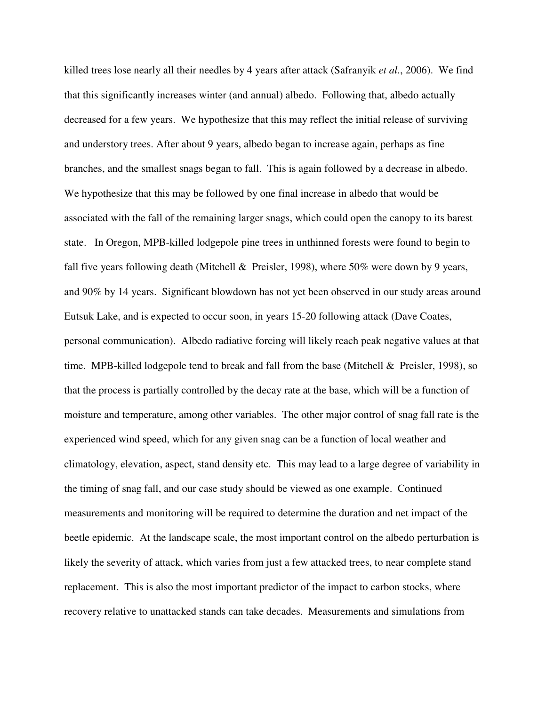killed trees lose nearly all their needles by 4 years after attack (Safranyik *et al.*, 2006). We find that this significantly increases winter (and annual) albedo. Following that, albedo actually decreased for a few years. We hypothesize that this may reflect the initial release of surviving and understory trees. After about 9 years, albedo began to increase again, perhaps as fine branches, and the smallest snags began to fall. This is again followed by a decrease in albedo. We hypothesize that this may be followed by one final increase in albedo that would be associated with the fall of the remaining larger snags, which could open the canopy to its barest state. In Oregon, MPB-killed lodgepole pine trees in unthinned forests were found to begin to fall five years following death (Mitchell & Preisler, 1998), where 50% were down by 9 years, and 90% by 14 years. Significant blowdown has not yet been observed in our study areas around Eutsuk Lake, and is expected to occur soon, in years 15-20 following attack (Dave Coates, personal communication). Albedo radiative forcing will likely reach peak negative values at that time. MPB-killed lodgepole tend to break and fall from the base (Mitchell & Preisler, 1998), so that the process is partially controlled by the decay rate at the base, which will be a function of moisture and temperature, among other variables. The other major control of snag fall rate is the experienced wind speed, which for any given snag can be a function of local weather and climatology, elevation, aspect, stand density etc. This may lead to a large degree of variability in the timing of snag fall, and our case study should be viewed as one example. Continued measurements and monitoring will be required to determine the duration and net impact of the beetle epidemic. At the landscape scale, the most important control on the albedo perturbation is likely the severity of attack, which varies from just a few attacked trees, to near complete stand replacement. This is also the most important predictor of the impact to carbon stocks, where recovery relative to unattacked stands can take decades. Measurements and simulations from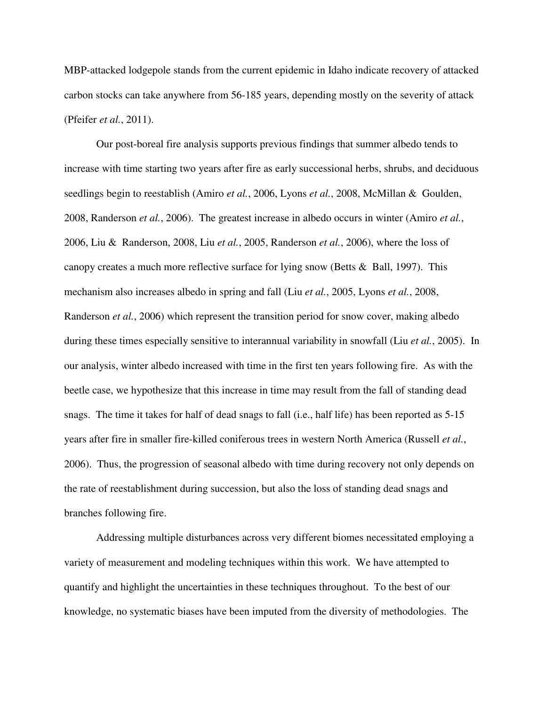MBP-attacked lodgepole stands from the current epidemic in Idaho indicate recovery of attacked carbon stocks can take anywhere from 56-185 years, depending mostly on the severity of attack (Pfeifer *et al.*, 2011).

Our post-boreal fire analysis supports previous findings that summer albedo tends to increase with time starting two years after fire as early successional herbs, shrubs, and deciduous seedlings begin to reestablish (Amiro *et al.*, 2006, Lyons *et al.*, 2008, McMillan & Goulden, 2008, Randerson *et al.*, 2006). The greatest increase in albedo occurs in winter (Amiro *et al.*, 2006, Liu & Randerson, 2008, Liu *et al.*, 2005, Randerson *et al.*, 2006), where the loss of canopy creates a much more reflective surface for lying snow (Betts  $\&$  Ball, 1997). This mechanism also increases albedo in spring and fall (Liu *et al.*, 2005, Lyons *et al.*, 2008, Randerson *et al.*, 2006) which represent the transition period for snow cover, making albedo during these times especially sensitive to interannual variability in snowfall (Liu *et al.*, 2005). In our analysis, winter albedo increased with time in the first ten years following fire. As with the beetle case, we hypothesize that this increase in time may result from the fall of standing dead snags. The time it takes for half of dead snags to fall (i.e., half life) has been reported as 5-15 years after fire in smaller fire-killed coniferous trees in western North America (Russell *et al.*, 2006). Thus, the progression of seasonal albedo with time during recovery not only depends on the rate of reestablishment during succession, but also the loss of standing dead snags and branches following fire.

Addressing multiple disturbances across very different biomes necessitated employing a variety of measurement and modeling techniques within this work. We have attempted to quantify and highlight the uncertainties in these techniques throughout. To the best of our knowledge, no systematic biases have been imputed from the diversity of methodologies. The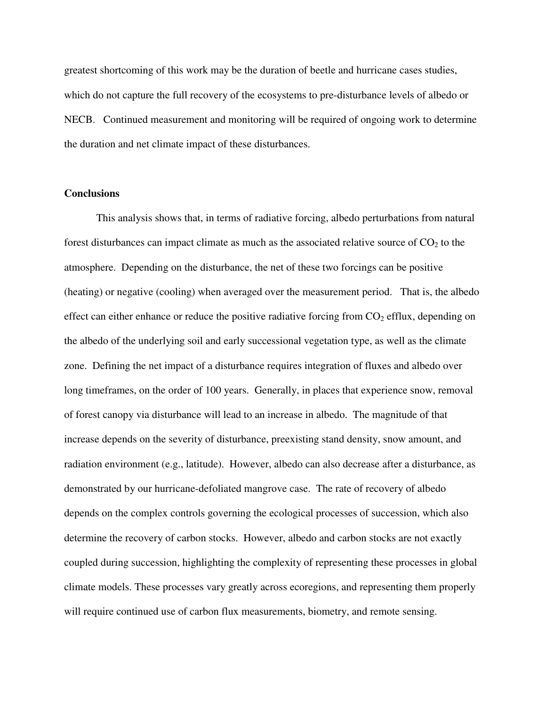greatest shortcoming of this work may be the duration of beetle and hurricane cases studies, which do not capture the full recovery of the ecosystems to pre-disturbance levels of albedo or NECB. Continued measurement and monitoring will be required of ongoing work to determine the duration and net climate impact of these disturbances.

#### **Conclusions**

This analysis shows that, in terms of radiative forcing, albedo perturbations from natural forest disturbances can impact climate as much as the associated relative source of  $CO<sub>2</sub>$  to the atmosphere. Depending on the disturbance, the net of these two forcings can be positive (heating) or negative (cooling) when averaged over the measurement period. That is, the albedo effect can either enhance or reduce the positive radiative forcing from  $CO<sub>2</sub>$  efflux, depending on the albedo of the underlying soil and early successional vegetation type, as well as the climate zone. Defining the net impact of a disturbance requires integration of fluxes and albedo over long timeframes, on the order of 100 years. Generally, in places that experience snow, removal of forest canopy via disturbance will lead to an increase in albedo. The magnitude of that increase depends on the severity of disturbance, preexisting stand density, snow amount, and radiation environment (e.g., latitude). However, albedo can also decrease after a disturbance, as demonstrated by our hurricane-defoliated mangrove case. The rate of recovery of albedo depends on the complex controls governing the ecological processes of succession, which also determine the recovery of carbon stocks. However, albedo and carbon stocks are not exactly coupled during succession, highlighting the complexity of representing these processes in global climate models. These processes vary greatly across ecoregions, and representing them properly will require continued use of carbon flux measurements, biometry, and remote sensing.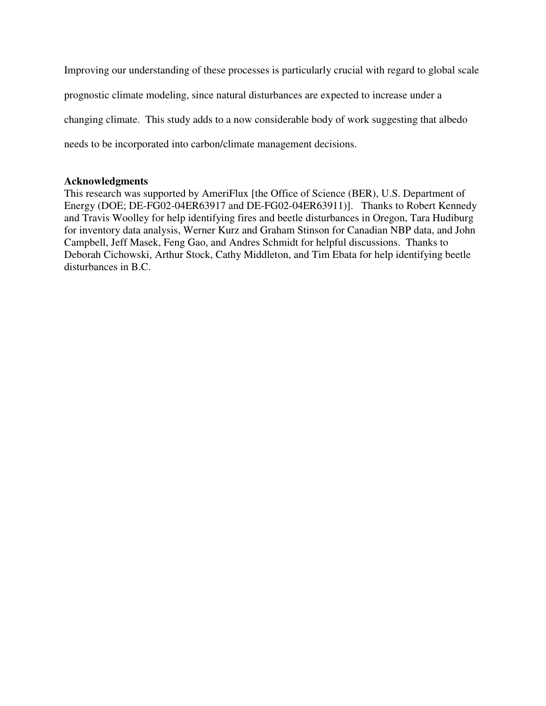Improving our understanding of these processes is particularly crucial with regard to global scale prognostic climate modeling, since natural disturbances are expected to increase under a changing climate. This study adds to a now considerable body of work suggesting that albedo needs to be incorporated into carbon/climate management decisions.

# **Acknowledgments**

This research was supported by AmeriFlux [the Office of Science (BER), U.S. Department of Energy (DOE; DE-FG02-04ER63917 and DE-FG02-04ER63911)]. Thanks to Robert Kennedy and Travis Woolley for help identifying fires and beetle disturbances in Oregon, Tara Hudiburg for inventory data analysis, Werner Kurz and Graham Stinson for Canadian NBP data, and John Campbell, Jeff Masek, Feng Gao, and Andres Schmidt for helpful discussions. Thanks to Deborah Cichowski, Arthur Stock, Cathy Middleton, and Tim Ebata for help identifying beetle disturbances in B.C.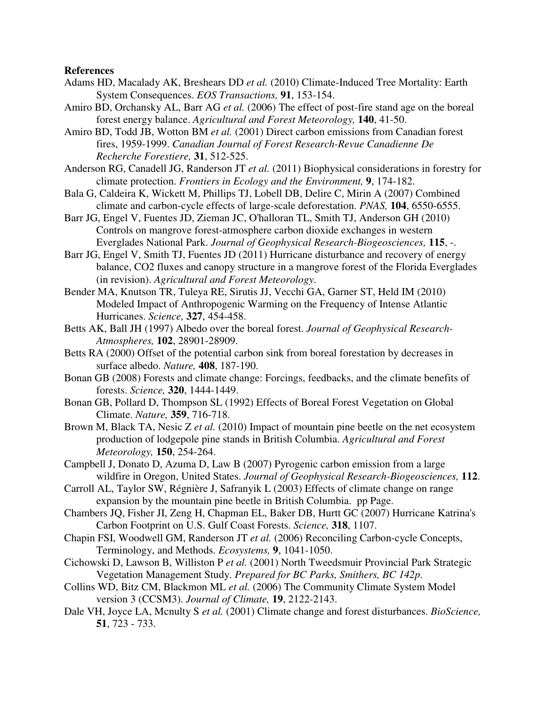#### **References**

- Adams HD, Macalady AK, Breshears DD *et al.* (2010) Climate-Induced Tree Mortality: Earth System Consequences. *EOS Transactions,* **91**, 153-154.
- Amiro BD, Orchansky AL, Barr AG *et al.* (2006) The effect of post-fire stand age on the boreal forest energy balance. *Agricultural and Forest Meteorology,* **140**, 41-50.
- Amiro BD, Todd JB, Wotton BM *et al.* (2001) Direct carbon emissions from Canadian forest fires, 1959-1999. *Canadian Journal of Forest Research-Revue Canadienne De Recherche Forestiere,* **31**, 512-525.
- Anderson RG, Canadell JG, Randerson JT *et al.* (2011) Biophysical considerations in forestry for climate protection. *Frontiers in Ecology and the Environment,* **9**, 174-182.
- Bala G, Caldeira K, Wickett M, Phillips TJ, Lobell DB, Delire C, Mirin A (2007) Combined climate and carbon-cycle effects of large-scale deforestation. *PNAS,* **104**, 6550-6555.
- Barr JG, Engel V, Fuentes JD, Zieman JC, O'halloran TL, Smith TJ, Anderson GH (2010) Controls on mangrove forest-atmosphere carbon dioxide exchanges in western Everglades National Park. *Journal of Geophysical Research-Biogeosciences,* **115**, -.
- Barr JG, Engel V, Smith TJ, Fuentes JD (2011) Hurricane disturbance and recovery of energy balance, CO2 fluxes and canopy structure in a mangrove forest of the Florida Everglades (in revision). *Agricultural and Forest Meteorology*.
- Bender MA, Knutson TR, Tuleya RE, Sirutis JJ, Vecchi GA, Garner ST, Held IM (2010) Modeled Impact of Anthropogenic Warming on the Frequency of Intense Atlantic Hurricanes. *Science,* **327**, 454-458.
- Betts AK, Ball JH (1997) Albedo over the boreal forest. *Journal of Geophysical Research-Atmospheres,* **102**, 28901-28909.
- Betts RA (2000) Offset of the potential carbon sink from boreal forestation by decreases in surface albedo. *Nature,* **408**, 187-190.
- Bonan GB (2008) Forests and climate change: Forcings, feedbacks, and the climate benefits of forests. *Science,* **320**, 1444-1449.
- Bonan GB, Pollard D, Thompson SL (1992) Effects of Boreal Forest Vegetation on Global Climate. *Nature,* **359**, 716-718.
- Brown M, Black TA, Nesic Z *et al.* (2010) Impact of mountain pine beetle on the net ecosystem production of lodgepole pine stands in British Columbia. *Agricultural and Forest Meteorology,* **150**, 254-264.
- Campbell J, Donato D, Azuma D, Law B (2007) Pyrogenic carbon emission from a large wildfire in Oregon, United States. *Journal of Geophysical Research-Biogeosciences,* **112**.
- Carroll AL, Taylor SW, Régnière J, Safranyik L (2003) Effects of climate change on range expansion by the mountain pine beetle in British Columbia. pp Page.
- Chambers JQ, Fisher JI, Zeng H, Chapman EL, Baker DB, Hurtt GC (2007) Hurricane Katrina's Carbon Footprint on U.S. Gulf Coast Forests. *Science,* **318**, 1107.
- Chapin FSI, Woodwell GM, Randerson JT *et al.* (2006) Reconciling Carbon-cycle Concepts, Terminology, and Methods. *Ecosystems,* **9**, 1041-1050.
- Cichowski D, Lawson B, Williston P *et al.* (2001) North Tweedsmuir Provincial Park Strategic Vegetation Management Study. *Prepared for BC Parks, Smithers, BC 142p*.
- Collins WD, Bitz CM, Blackmon ML *et al.* (2006) The Community Climate System Model version 3 (CCSM3). *Journal of Climate,* **19**, 2122-2143.
- Dale VH, Joyce LA, Mcnulty S *et al.* (2001) Climate change and forest disturbances. *BioScience,* **51**, 723 - 733.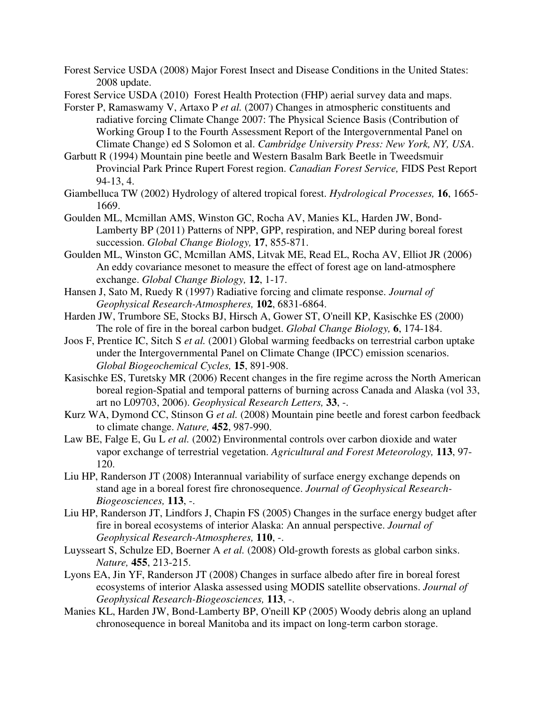Forest Service USDA (2008) Major Forest Insect and Disease Conditions in the United States: 2008 update.

Forest Service USDA (2010) Forest Health Protection (FHP) aerial survey data and maps.

- Forster P, Ramaswamy V, Artaxo P *et al.* (2007) Changes in atmospheric constituents and radiative forcing Climate Change 2007: The Physical Science Basis (Contribution of Working Group I to the Fourth Assessment Report of the Intergovernmental Panel on Climate Change) ed S Solomon et al. *Cambridge University Press: New York, NY, USA*.
- Garbutt R (1994) Mountain pine beetle and Western Basalm Bark Beetle in Tweedsmuir Provincial Park Prince Rupert Forest region. *Canadian Forest Service,* FIDS Pest Report 94-13, 4.
- Giambelluca TW (2002) Hydrology of altered tropical forest. *Hydrological Processes,* **16**, 1665- 1669.
- Goulden ML, Mcmillan AMS, Winston GC, Rocha AV, Manies KL, Harden JW, Bond-Lamberty BP (2011) Patterns of NPP, GPP, respiration, and NEP during boreal forest succession. *Global Change Biology,* **17**, 855-871.
- Goulden ML, Winston GC, Mcmillan AMS, Litvak ME, Read EL, Rocha AV, Elliot JR (2006) An eddy covariance mesonet to measure the effect of forest age on land-atmosphere exchange. *Global Change Biology,* **12**, 1-17.
- Hansen J, Sato M, Ruedy R (1997) Radiative forcing and climate response. *Journal of Geophysical Research-Atmospheres,* **102**, 6831-6864.
- Harden JW, Trumbore SE, Stocks BJ, Hirsch A, Gower ST, O'neill KP, Kasischke ES (2000) The role of fire in the boreal carbon budget. *Global Change Biology,* **6**, 174-184.
- Joos F, Prentice IC, Sitch S *et al.* (2001) Global warming feedbacks on terrestrial carbon uptake under the Intergovernmental Panel on Climate Change (IPCC) emission scenarios. *Global Biogeochemical Cycles,* **15**, 891-908.
- Kasischke ES, Turetsky MR (2006) Recent changes in the fire regime across the North American boreal region-Spatial and temporal patterns of burning across Canada and Alaska (vol 33, art no L09703, 2006). *Geophysical Research Letters,* **33**, -.
- Kurz WA, Dymond CC, Stinson G *et al.* (2008) Mountain pine beetle and forest carbon feedback to climate change. *Nature,* **452**, 987-990.
- Law BE, Falge E, Gu L *et al.* (2002) Environmental controls over carbon dioxide and water vapor exchange of terrestrial vegetation. *Agricultural and Forest Meteorology,* **113**, 97- 120.
- Liu HP, Randerson JT (2008) Interannual variability of surface energy exchange depends on stand age in a boreal forest fire chronosequence. *Journal of Geophysical Research-Biogeosciences,* **113**, -.
- Liu HP, Randerson JT, Lindfors J, Chapin FS (2005) Changes in the surface energy budget after fire in boreal ecosystems of interior Alaska: An annual perspective. *Journal of Geophysical Research-Atmospheres,* **110**, -.
- Luysseart S, Schulze ED, Boerner A *et al.* (2008) Old-growth forests as global carbon sinks. *Nature,* **455**, 213-215.
- Lyons EA, Jin YF, Randerson JT (2008) Changes in surface albedo after fire in boreal forest ecosystems of interior Alaska assessed using MODIS satellite observations. *Journal of Geophysical Research-Biogeosciences,* **113**, -.
- Manies KL, Harden JW, Bond-Lamberty BP, O'neill KP (2005) Woody debris along an upland chronosequence in boreal Manitoba and its impact on long-term carbon storage.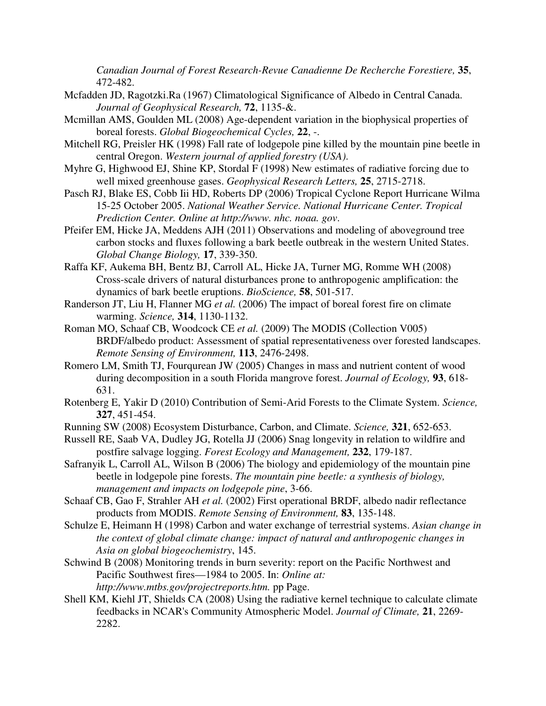*Canadian Journal of Forest Research-Revue Canadienne De Recherche Forestiere,* **35**, 472-482.

- Mcfadden JD, Ragotzki.Ra (1967) Climatological Significance of Albedo in Central Canada. *Journal of Geophysical Research,* **72**, 1135-&.
- Mcmillan AMS, Goulden ML (2008) Age-dependent variation in the biophysical properties of boreal forests. *Global Biogeochemical Cycles,* **22**, -.
- Mitchell RG, Preisler HK (1998) Fall rate of lodgepole pine killed by the mountain pine beetle in central Oregon. *Western journal of applied forestry (USA)*.
- Myhre G, Highwood EJ, Shine KP, Stordal F (1998) New estimates of radiative forcing due to well mixed greenhouse gases. *Geophysical Research Letters,* **25**, 2715-2718.

Pasch RJ, Blake ES, Cobb Iii HD, Roberts DP (2006) Tropical Cyclone Report Hurricane Wilma 15-25 October 2005. *National Weather Service. National Hurricane Center. Tropical Prediction Center. Online at http://www. nhc. noaa. gov*.

Pfeifer EM, Hicke JA, Meddens AJH (2011) Observations and modeling of aboveground tree carbon stocks and fluxes following a bark beetle outbreak in the western United States. *Global Change Biology,* **17**, 339-350.

Raffa KF, Aukema BH, Bentz BJ, Carroll AL, Hicke JA, Turner MG, Romme WH (2008) Cross-scale drivers of natural disturbances prone to anthropogenic amplification: the dynamics of bark beetle eruptions. *BioScience,* **58**, 501-517.

Randerson JT, Liu H, Flanner MG *et al.* (2006) The impact of boreal forest fire on climate warming. *Science,* **314**, 1130-1132.

- Roman MO, Schaaf CB, Woodcock CE *et al.* (2009) The MODIS (Collection V005) BRDF/albedo product: Assessment of spatial representativeness over forested landscapes. *Remote Sensing of Environment,* **113**, 2476-2498.
- Romero LM, Smith TJ, Fourqurean JW (2005) Changes in mass and nutrient content of wood during decomposition in a south Florida mangrove forest. *Journal of Ecology,* **93**, 618- 631.
- Rotenberg E, Yakir D (2010) Contribution of Semi-Arid Forests to the Climate System. *Science,* **327**, 451-454.
- Running SW (2008) Ecosystem Disturbance, Carbon, and Climate. *Science,* **321**, 652-653.
- Russell RE, Saab VA, Dudley JG, Rotella JJ (2006) Snag longevity in relation to wildfire and postfire salvage logging. *Forest Ecology and Management,* **232**, 179-187.
- Safranyik L, Carroll AL, Wilson B (2006) The biology and epidemiology of the mountain pine beetle in lodgepole pine forests. *The mountain pine beetle: a synthesis of biology, management and impacts on lodgepole pine*, 3-66.
- Schaaf CB, Gao F, Strahler AH *et al.* (2002) First operational BRDF, albedo nadir reflectance products from MODIS. *Remote Sensing of Environment,* **83**, 135-148.

Schulze E, Heimann H (1998) Carbon and water exchange of terrestrial systems. *Asian change in the context of global climate change: impact of natural and anthropogenic changes in Asia on global biogeochemistry*, 145.

Schwind B (2008) Monitoring trends in burn severity: report on the Pacific Northwest and Pacific Southwest fires—1984 to 2005. In: *Online at: http://www.mtbs.gov/projectreports.htm.* pp Page.

Shell KM, Kiehl JT, Shields CA (2008) Using the radiative kernel technique to calculate climate feedbacks in NCAR's Community Atmospheric Model. *Journal of Climate,* **21**, 2269- 2282.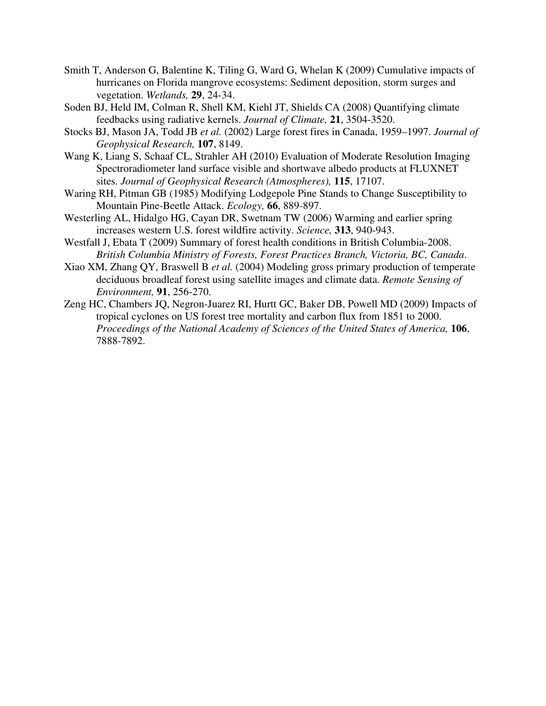- Smith T, Anderson G, Balentine K, Tiling G, Ward G, Whelan K (2009) Cumulative impacts of hurricanes on Florida mangrove ecosystems: Sediment deposition, storm surges and vegetation. *Wetlands,* **29**, 24-34.
- Soden BJ, Held IM, Colman R, Shell KM, Kiehl JT, Shields CA (2008) Quantifying climate feedbacks using radiative kernels. *Journal of Climate,* **21**, 3504-3520.
- Stocks BJ, Mason JA, Todd JB *et al.* (2002) Large forest fires in Canada, 1959–1997. *Journal of Geophysical Research,* **107**, 8149.
- Wang K, Liang S, Schaaf CL, Strahler AH (2010) Evaluation of Moderate Resolution Imaging Spectroradiometer land surface visible and shortwave albedo products at FLUXNET sites. *Journal of Geophysical Research (Atmospheres),* **115**, 17107.
- Waring RH, Pitman GB (1985) Modifying Lodgepole Pine Stands to Change Susceptibility to Mountain Pine-Beetle Attack. *Ecology,* **66**, 889-897.
- Westerling AL, Hidalgo HG, Cayan DR, Swetnam TW (2006) Warming and earlier spring increases western U.S. forest wildfire activity. *Science,* **313**, 940-943.
- Westfall J, Ebata T (2009) Summary of forest health conditions in British Columbia-2008. *British Columbia Ministry of Forests, Forest Practices Branch, Victoria, BC, Canada*.
- Xiao XM, Zhang QY, Braswell B *et al.* (2004) Modeling gross primary production of temperate deciduous broadleaf forest using satellite images and climate data. *Remote Sensing of Environment,* **91**, 256-270.
- Zeng HC, Chambers JQ, Negron-Juarez RI, Hurtt GC, Baker DB, Powell MD (2009) Impacts of tropical cyclones on US forest tree mortality and carbon flux from 1851 to 2000. *Proceedings of the National Academy of Sciences of the United States of America,* **106**, 7888-7892.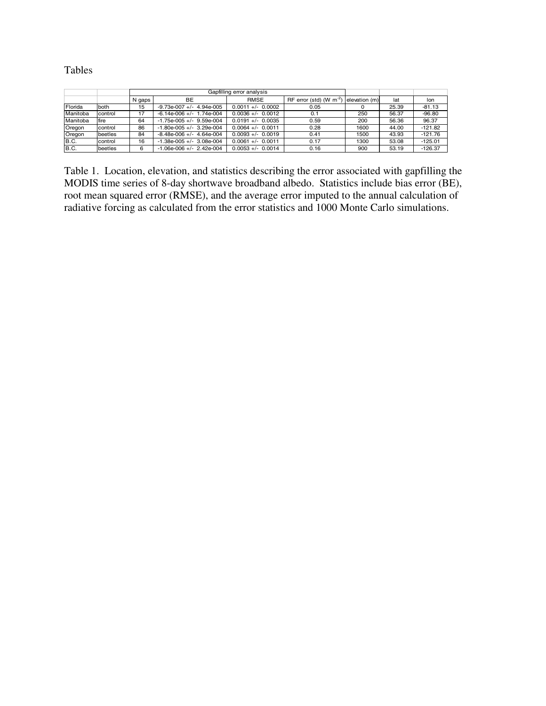Tables

|          |         | Gapfilling error analysis |                                 |                     |                              |               |       |           |
|----------|---------|---------------------------|---------------------------------|---------------------|------------------------------|---------------|-------|-----------|
|          |         | N gaps                    | <b>BE</b>                       | <b>RMSE</b>         | RF error (std) (W $m^{-2}$ ) | elevation (m) | lat   | lon       |
| Florida  | both    | 15                        | $-9.73e-007$ +/- 4.94e-005      | $0.0011 +/- 0.0002$ | 0.05                         |               | 25.39 | $-81.13$  |
| Manitoba | control |                           | $-6.14e-006$ +/- 1.74e-004      | $0.0036 +/- 0.0012$ | 0.1                          | 250           | 56.37 | $-96.80$  |
| Manitoba | fire    | 64                        | $-1.75e-005$ +/- 9.59e-004      | $0.0191 +/- 0.0035$ | 0.59                         | 200           | 56.36 | 96.37     |
| Oregon   | control | 86                        | $-1.80e - 005 + (-3.29e - 004)$ | $0.0064 +/- 0.0011$ | 0.28                         | 1600          | 44.00 | $-121.82$ |
| Oregon   | beetles | 84                        | $-8.48e-006$ +/- 4.64e-004      | $0.0093 +/- 0.0019$ | 0.41                         | 1500          | 43.93 | $-121.76$ |
| B.C.     | control | 16                        | $-1.38e - 005 + (-3.08e - 004)$ | $0.0061 +/- 0.0011$ | 0.17                         | 1300          | 53.08 | $-125.01$ |
| B.C.     | beetles | 6                         | $-1.06e-006$ +/- 2.42e-004      | $0.0053 +/- 0.0014$ | 0.16                         | 900           | 53.19 | $-126.37$ |

Table 1. Location, elevation, and statistics describing the error associated with gapfilling the MODIS time series of 8-day shortwave broadband albedo. Statistics include bias error (BE), root mean squared error (RMSE), and the average error imputed to the annual calculation of radiative forcing as calculated from the error statistics and 1000 Monte Carlo simulations.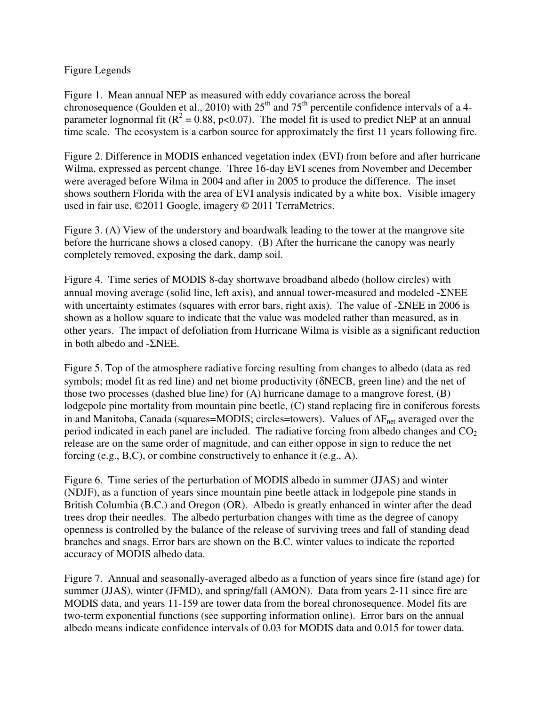# Figure Legends

Figure 1. Mean annual NEP as measured with eddy covariance across the boreal chronosequence (Goulden et al., 2010) with  $25<sup>th</sup>$  and  $75<sup>th</sup>$  percentile confidence intervals of a 4parameter lognormal fit ( $R^2 = 0.88$ , p<0.07). The model fit is used to predict NEP at an annual time scale. The ecosystem is a carbon source for approximately the first 11 years following fire.

Figure 2. Difference in MODIS enhanced vegetation index (EVI) from before and after hurricane Wilma, expressed as percent change. Three 16-day EVI scenes from November and December were averaged before Wilma in 2004 and after in 2005 to produce the difference. The inset shows southern Florida with the area of EVI analysis indicated by a white box. Visible imagery used in fair use, ©2011 Google, imagery © 2011 TerraMetrics.

Figure 3. (A) View of the understory and boardwalk leading to the tower at the mangrove site before the hurricane shows a closed canopy. (B) After the hurricane the canopy was nearly completely removed, exposing the dark, damp soil.

Figure 4. Time series of MODIS 8-day shortwave broadband albedo (hollow circles) with annual moving average (solid line, left axis), and annual tower-measured and modeled -ΣNEE with uncertainty estimates (squares with error bars, right axis). The value of - $\Sigma$ NEE in 2006 is shown as a hollow square to indicate that the value was modeled rather than measured, as in other years. The impact of defoliation from Hurricane Wilma is visible as a significant reduction in both albedo and -ΣNEE.

Figure 5. Top of the atmosphere radiative forcing resulting from changes to albedo (data as red symbols; model fit as red line) and net biome productivity (δNECB, green line) and the net of those two processes (dashed blue line) for (A) hurricane damage to a mangrove forest, (B) lodgepole pine mortality from mountain pine beetle, (C) stand replacing fire in coniferous forests in and Manitoba, Canada (squares=MODIS; circles=towers). Values of  $\Delta F_{net}$  averaged over the period indicated in each panel are included. The radiative forcing from albedo changes and  $CO<sub>2</sub>$ release are on the same order of magnitude, and can either oppose in sign to reduce the net forcing (e.g., B,C), or combine constructively to enhance it (e.g., A).

Figure 6. Time series of the perturbation of MODIS albedo in summer (JJAS) and winter (NDJF), as a function of years since mountain pine beetle attack in lodgepole pine stands in British Columbia (B.C.) and Oregon (OR). Albedo is greatly enhanced in winter after the dead trees drop their needles. The albedo perturbation changes with time as the degree of canopy openness is controlled by the balance of the release of surviving trees and fall of standing dead branches and snags. Error bars are shown on the B.C. winter values to indicate the reported accuracy of MODIS albedo data.

Figure 7. Annual and seasonally-averaged albedo as a function of years since fire (stand age) for summer (JJAS), winter (JFMD), and spring/fall (AMON). Data from years 2-11 since fire are MODIS data, and years 11-159 are tower data from the boreal chronosequence. Model fits are two-term exponential functions (see supporting information online). Error bars on the annual albedo means indicate confidence intervals of 0.03 for MODIS data and 0.015 for tower data.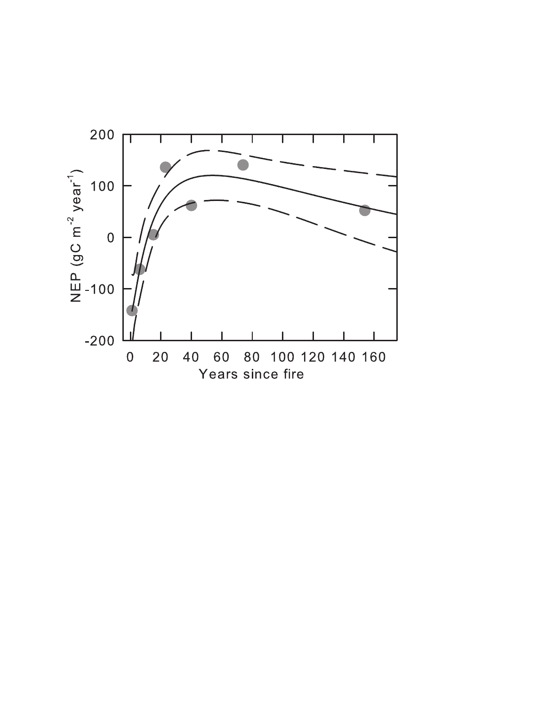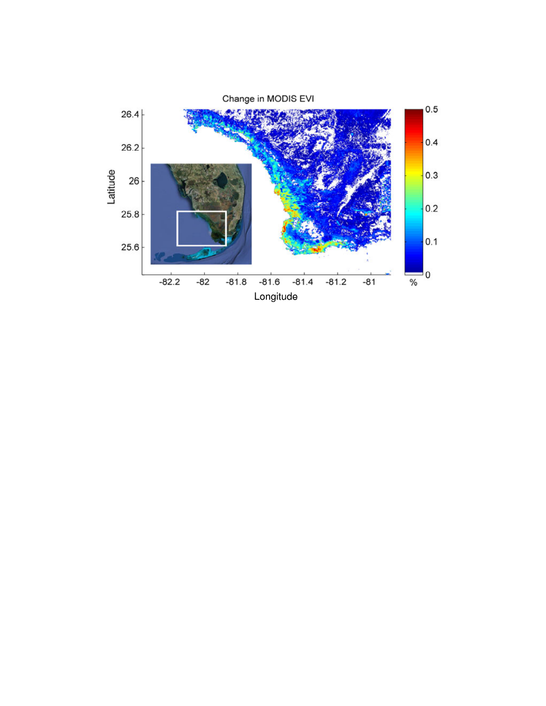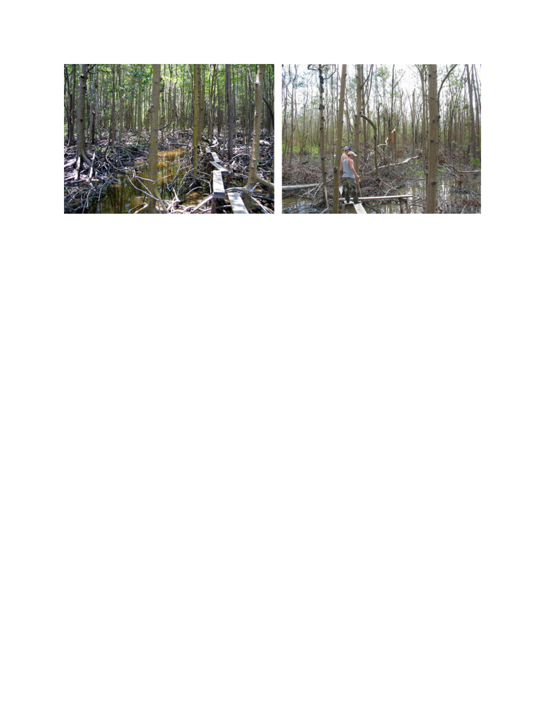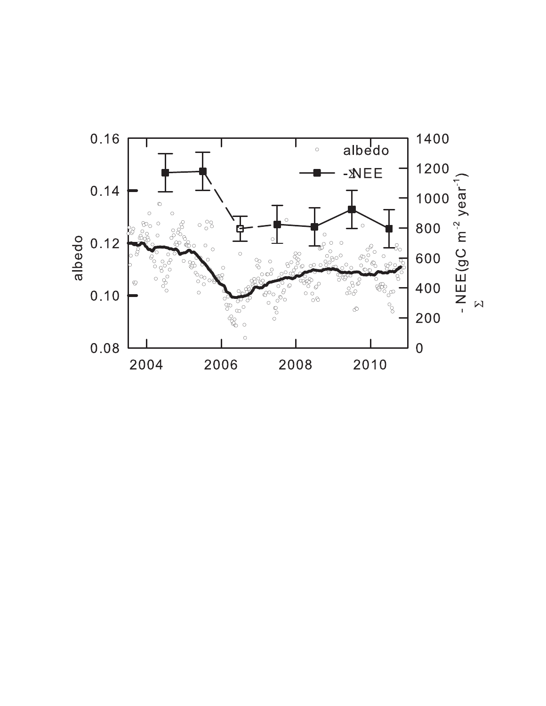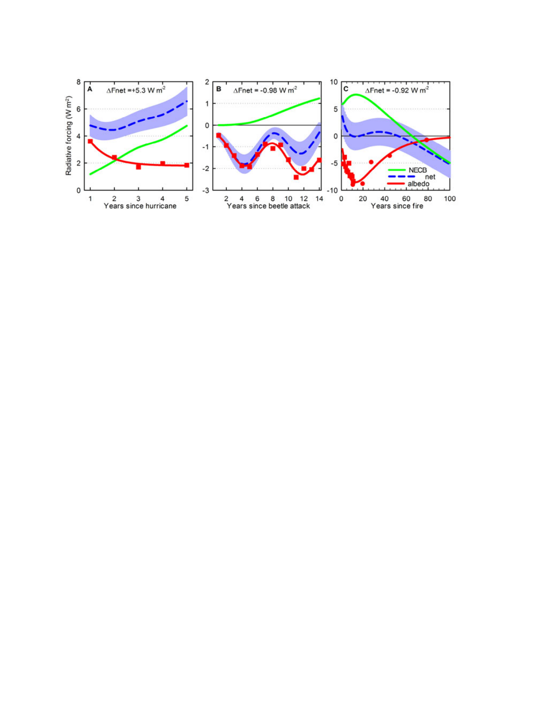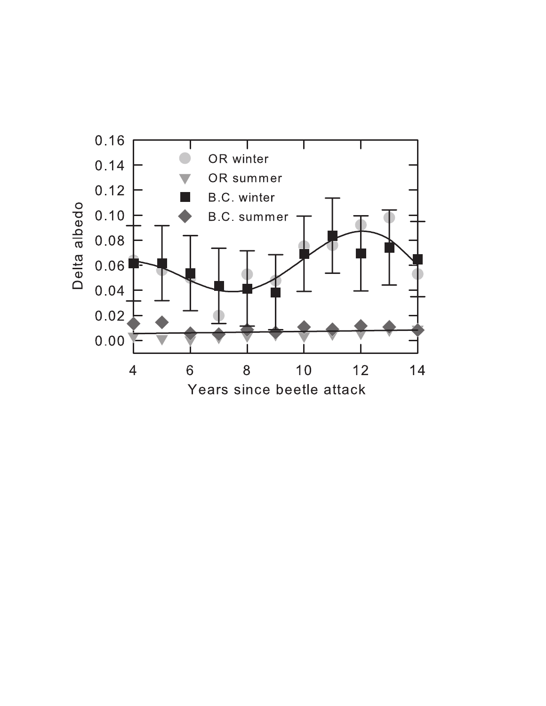